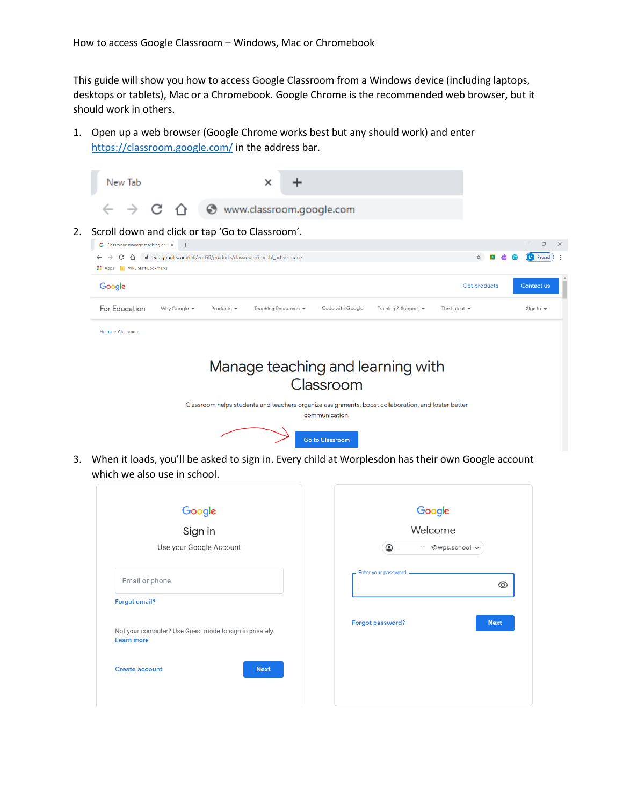This guide will show you how to access Google Classroom from a Windows device (including laptops, desktops or tablets), Mac or a Chromebook. Google Chrome is the recommended web browser, but it should work in others.

1. Open up a web browser (Google Chrome works best but any should work) and enter <https://classroom.google.com/> in the address bar.



3. When it loads, you'll be asked to sign in. Every child at Worplesdon has their own Google account which we also use in school.

| Google<br>Sign in                                                            | Google                           |
|------------------------------------------------------------------------------|----------------------------------|
|                                                                              | Welcome                          |
| Use your Google Account                                                      | $\circledcirc$<br>·@wps.school ∨ |
| Email or phone                                                               | Enter your password -<br>⊚       |
| <b>Forgot email?</b>                                                         |                                  |
| Not your computer? Use Guest mode to sign in privately.<br><b>Learn more</b> | Forgot password?<br><b>Next</b>  |
| <b>Next</b><br><b>Create account</b>                                         |                                  |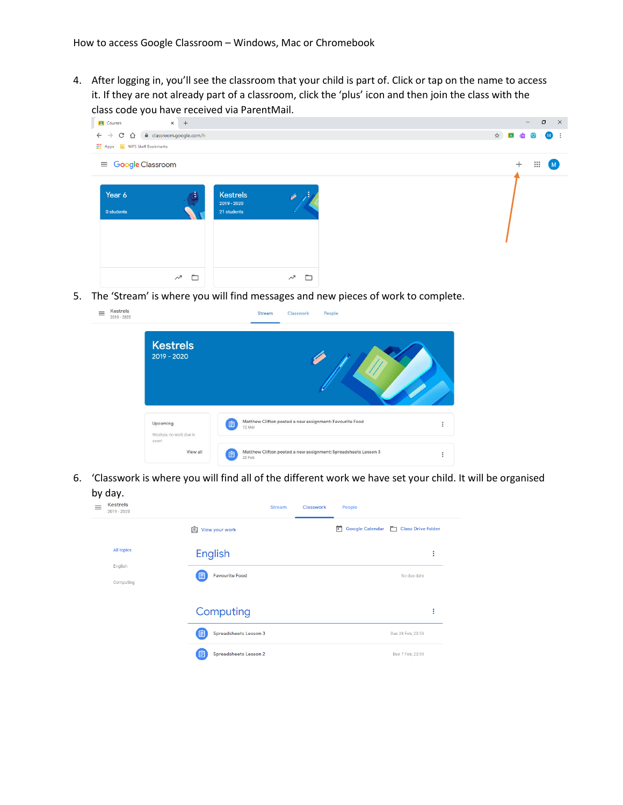4. After logging in, you'll see the classroom that your child is part of. Click or tap on the name to access it. If they are not already part of a classroom, click the 'plus' icon and then join the class with the class code you have received via ParentMail.

| . .<br><b>P</b> Courses<br>$\leftarrow$ $\rightarrow$ C' $\hat{\Omega}$ $\hat{\mathbf{H}}$ classroom.google.com/h<br><b>Hill Apps R</b> , WPS Staff Bookmarks | $\times$ +  |                                               |             |  | $\Box$<br>$\mathsf{X}$<br>$\qquad \qquad -$ |
|---------------------------------------------------------------------------------------------------------------------------------------------------------------|-------------|-----------------------------------------------|-------------|--|---------------------------------------------|
| $\equiv$ Google Classroom<br>Year 6<br>0 students                                                                                                             | d.          | <b>Kestrels</b><br>2019 - 2020<br>21 students |             |  | $+$<br>$\ddot{\cdots}$<br>-M                |
|                                                                                                                                                               | ▭<br>$\sim$ |                                               | ▭<br>$\sim$ |  |                                             |

5. The 'Stream' is where you will find messages and new pieces of work to complete.

| <b>Kestrels</b><br>$2019 - 2020$   |                                                                               |          |
|------------------------------------|-------------------------------------------------------------------------------|----------|
| Upcoming<br>Woohoo, no work due in | Matthew Clifton posted a new assignment: Favourite Food<br>圁<br>12 Mar        | $\vdots$ |
| soon!<br>View all                  | Matthew Clifton posted a new assignment: Spreadsheets Lesson 3<br>自<br>20 Feb | $\vdots$ |

6. 'Classwork is where you will find all of the different work we have set your child. It will be organised

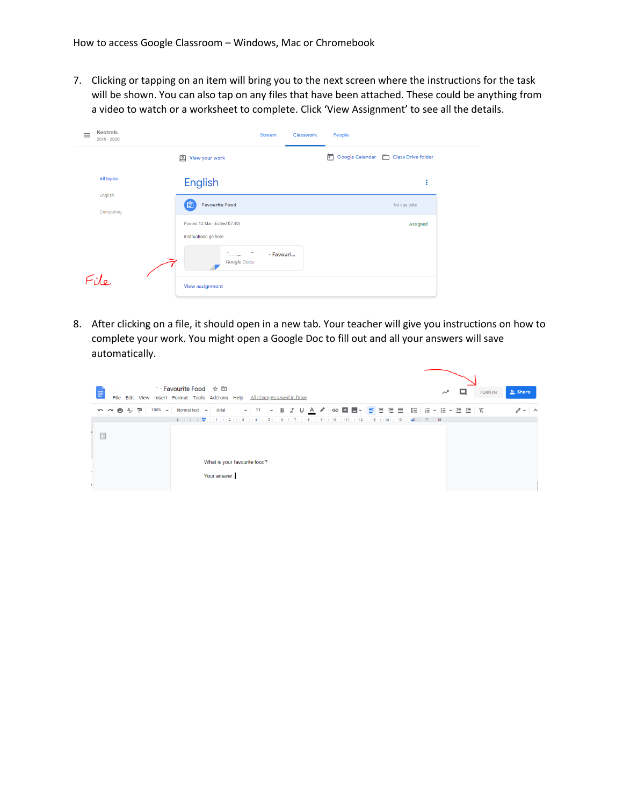7. Clicking or tapping on an item will bring you to the next screen where the instructions for the task will be shown. You can also tap on any files that have been attached. These could be anything from a video to watch or a worksheet to complete. Click 'View Assignment' to see all the details.

| Kestrels<br>$\equiv$<br>$2019 - 2020$ | <b>Stream</b><br>Classwork                           | People                             |
|---------------------------------------|------------------------------------------------------|------------------------------------|
|                                       | 囟<br>View your work                                  | Google Calendar Class Drive folder |
| <b>All topics</b>                     | English                                              | ٠                                  |
| English<br>Computing                  | 自<br><b>Favourite Food</b>                           | No due date                        |
|                                       | Posted 12 Mar (Edited 07:40)<br>Instructions go here | Assigned                           |
|                                       | $C_{\rm recoouart}$<br>÷<br>- Favouri<br>Google Docs |                                    |
| $Eil_{\sigma}$                        | View assignment                                      |                                    |

8. After clicking on a file, it should open in a new tab. Your teacher will give you instructions on how to complete your work. You might open a Google Doc to fill out and all your answers will save automatically.